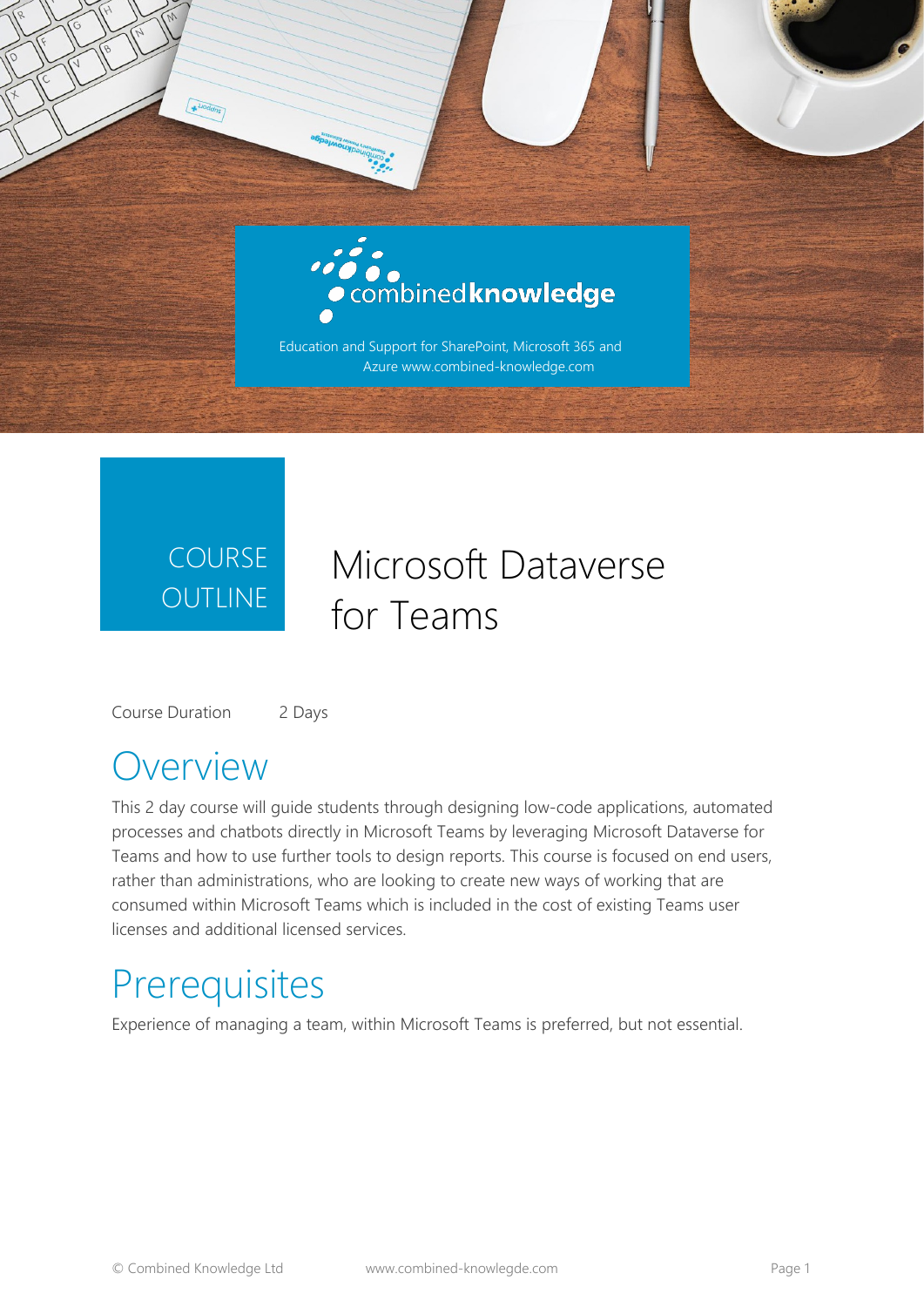

#### COURSE **OUTLINE**

#### Microsoft Dataverse for Teams

Course Duration 2 Days

#### **Overview**

This 2 day course will guide students through designing low-code applications, automated processes and chatbots directly in Microsoft Teams by leveraging Microsoft Dataverse for Teams and how to use further tools to design reports. This course is focused on end users, rather than administrations, who are looking to create new ways of working that are consumed within Microsoft Teams which is included in the cost of existing Teams user licenses and additional licensed services.

#### **Prerequisites**

Experience of managing a team, within Microsoft Teams is preferred, but not essential.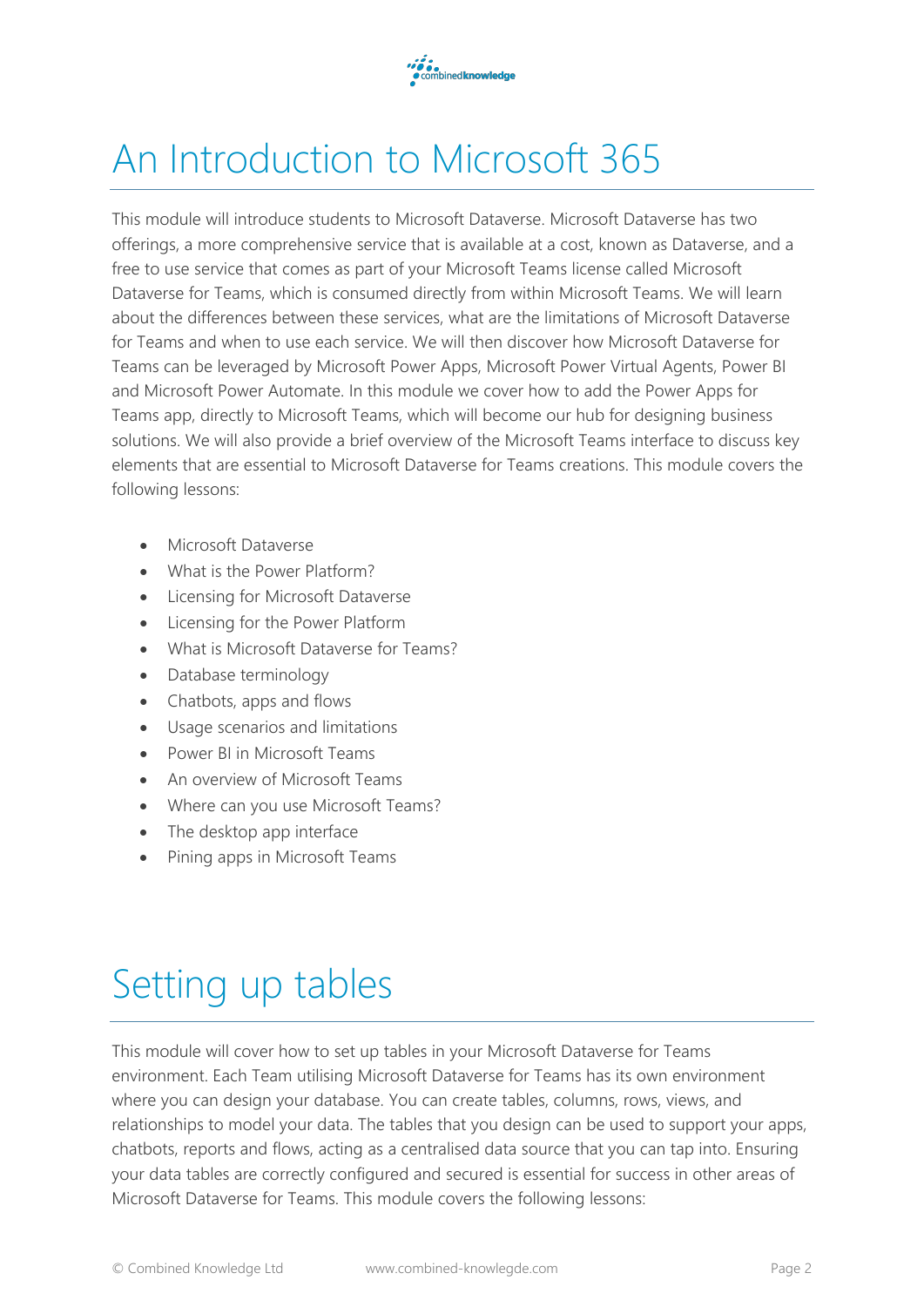

## An Introduction to Microsoft 365

This module will introduce students to Microsoft Dataverse. Microsoft Dataverse has two offerings, a more comprehensive service that is available at a cost, known as Dataverse, and a free to use service that comes as part of your Microsoft Teams license called Microsoft Dataverse for Teams, which is consumed directly from within Microsoft Teams. We will learn about the differences between these services, what are the limitations of Microsoft Dataverse for Teams and when to use each service. We will then discover how Microsoft Dataverse for Teams can be leveraged by Microsoft Power Apps, Microsoft Power Virtual Agents, Power BI and Microsoft Power Automate. In this module we cover how to add the Power Apps for Teams app, directly to Microsoft Teams, which will become our hub for designing business solutions. We will also provide a brief overview of the Microsoft Teams interface to discuss key elements that are essential to Microsoft Dataverse for Teams creations. This module covers the following lessons:

- Microsoft Dataverse
- What is the Power Platform?
- Licensing for Microsoft Dataverse
- Licensing for the Power Platform
- What is Microsoft Dataverse for Teams?
- Database terminology
- Chatbots, apps and flows
- Usage scenarios and limitations
- Power BI in Microsoft Teams
- An overview of Microsoft Teams
- Where can you use Microsoft Teams?
- The desktop app interface
- Pining apps in Microsoft Teams

## Setting up tables

This module will cover how to set up tables in your Microsoft Dataverse for Teams environment. Each Team utilising Microsoft Dataverse for Teams has its own environment where you can design your database. You can create tables, columns, rows, views, and relationships to model your data. The tables that you design can be used to support your apps, chatbots, reports and flows, acting as a centralised data source that you can tap into. Ensuring your data tables are correctly configured and secured is essential for success in other areas of Microsoft Dataverse for Teams. This module covers the following lessons: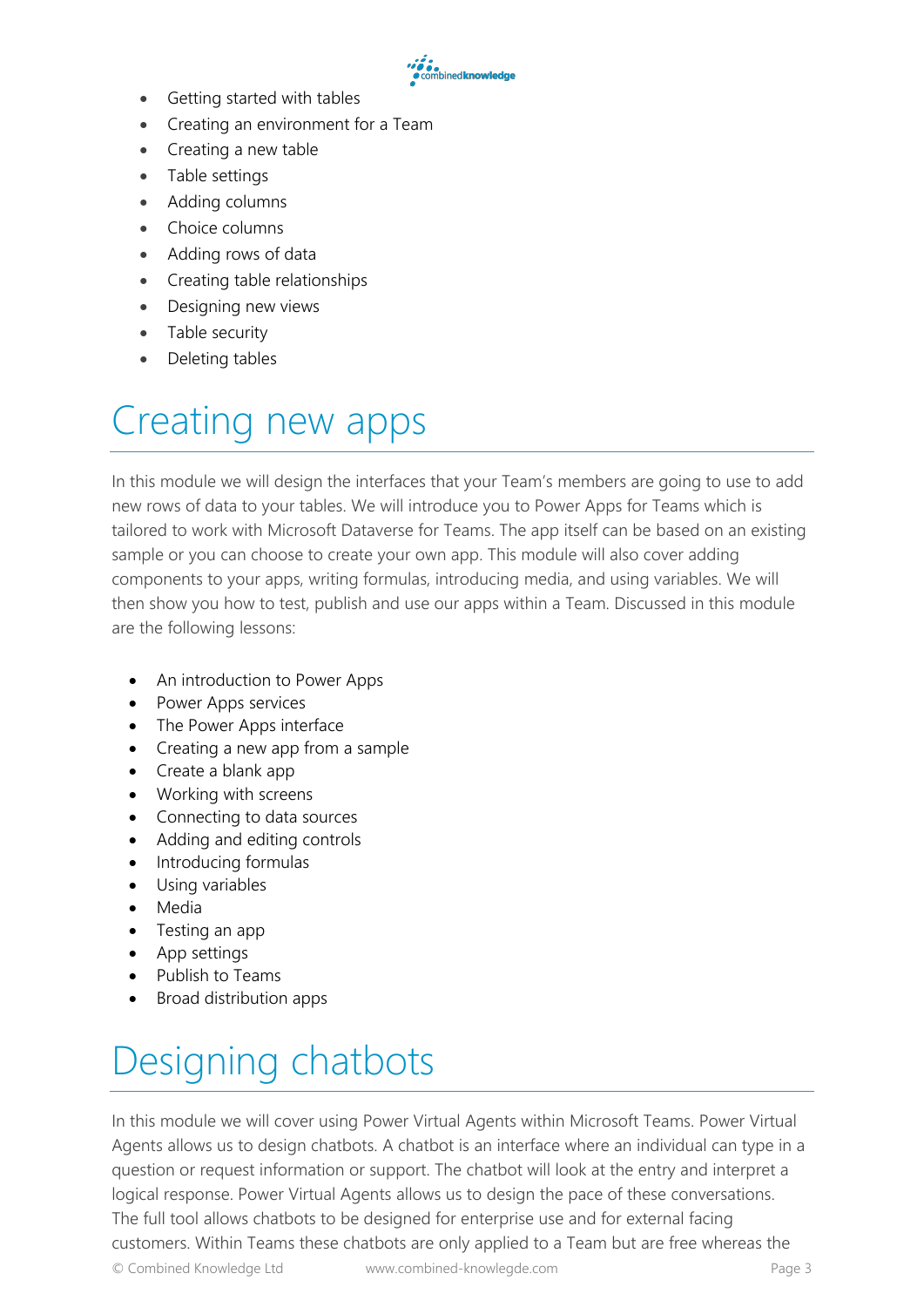- →●●●<br>● combined knowledge<br>●
- Getting started with tables
- Creating an environment for a Team
- Creating a new table
- Table settings
- Adding columns
- Choice columns
- Adding rows of data
- Creating table relationships
- Designing new views
- Table security
- Deleting tables

## Creating new apps

In this module we will design the interfaces that your Team's members are going to use to add new rows of data to your tables. We will introduce you to Power Apps for Teams which is tailored to work with Microsoft Dataverse for Teams. The app itself can be based on an existing sample or you can choose to create your own app. This module will also cover adding components to your apps, writing formulas, introducing media, and using variables. We will then show you how to test, publish and use our apps within a Team. Discussed in this module are the following lessons:

- An introduction to Power Apps
- Power Apps services
- The Power Apps interface
- Creating a new app from a sample
- Create a blank app
- Working with screens
- Connecting to data sources
- Adding and editing controls
- Introducing formulas
- Using variables
- Media
- Testing an app
- App settings
- Publish to Teams
- Broad distribution apps

# Designing chatbots

In this module we will cover using Power Virtual Agents within Microsoft Teams. Power Virtual Agents allows us to design chatbots. A chatbot is an interface where an individual can type in a question or request information or support. The chatbot will look at the entry and interpret a logical response. Power Virtual Agents allows us to design the pace of these conversations. The full tool allows chatbots to be designed for enterprise use and for external facing customers. Within Teams these chatbots are only applied to a Team but are free whereas the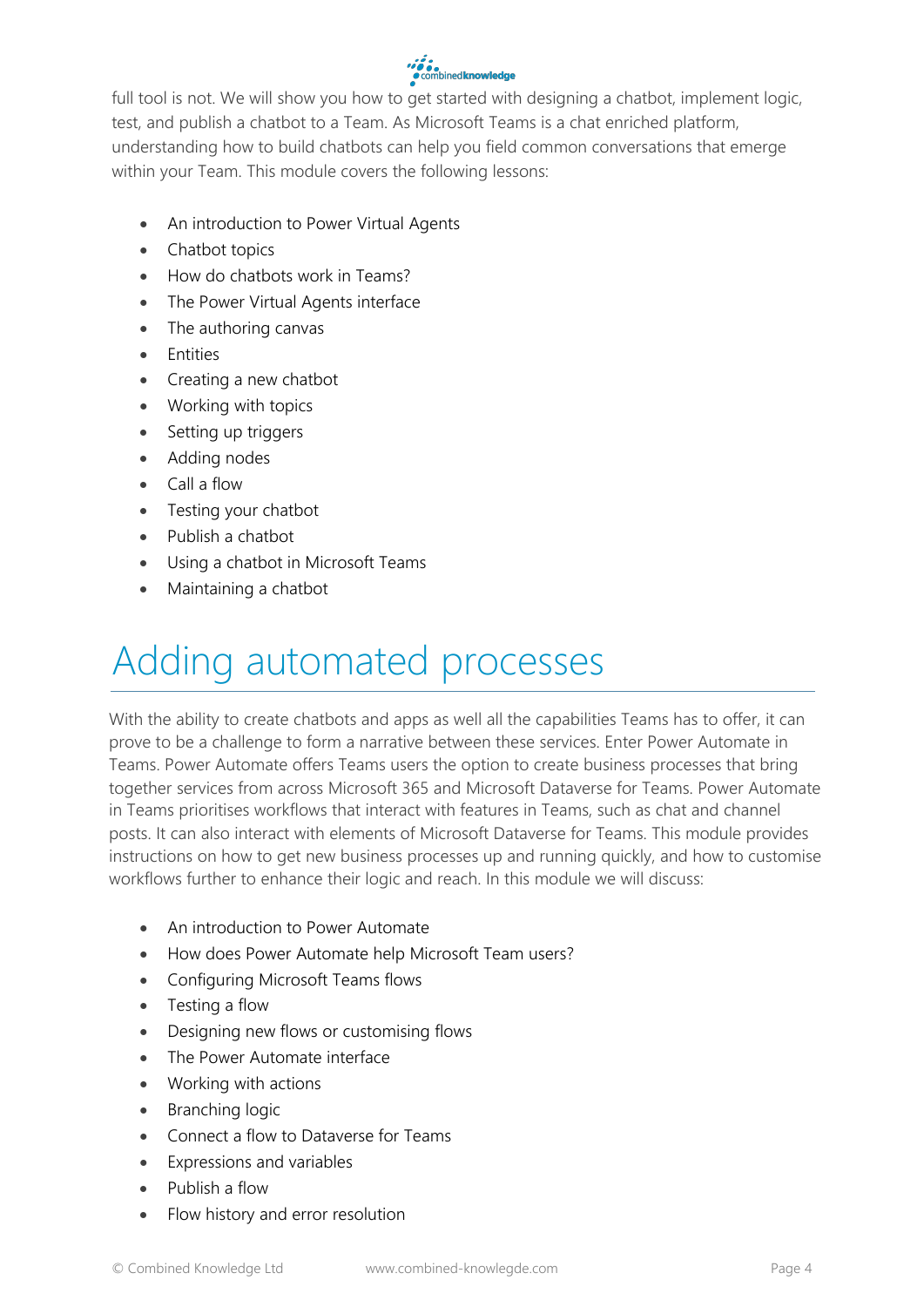#### •••••<br>● combined knowledge

full tool is not. We will show you how to get started with designing a chatbot, implement logic, test, and publish a chatbot to a Team. As Microsoft Teams is a chat enriched platform, understanding how to build chatbots can help you field common conversations that emerge within your Team. This module covers the following lessons:

- An introduction to Power Virtual Agents
- Chatbot topics
- How do chatbots work in Teams?
- The Power Virtual Agents interface
- The authoring canvas
- Entities
- Creating a new chatbot
- Working with topics
- Setting up triggers
- Adding nodes
- Call a flow
- Testing your chatbot
- Publish a chatbot
- Using a chatbot in Microsoft Teams
- Maintaining a chatbot

### Adding automated processes

With the ability to create chatbots and apps as well all the capabilities Teams has to offer, it can prove to be a challenge to form a narrative between these services. Enter Power Automate in Teams. Power Automate offers Teams users the option to create business processes that bring together services from across Microsoft 365 and Microsoft Dataverse for Teams. Power Automate in Teams prioritises workflows that interact with features in Teams, such as chat and channel posts. It can also interact with elements of Microsoft Dataverse for Teams. This module provides instructions on how to get new business processes up and running quickly, and how to customise workflows further to enhance their logic and reach. In this module we will discuss:

- An introduction to Power Automate
- How does Power Automate help Microsoft Team users?
- Configuring Microsoft Teams flows
- Testing a flow
- Designing new flows or customising flows
- The Power Automate interface
- Working with actions
- Branching logic
- Connect a flow to Dataverse for Teams
- Expressions and variables
- Publish a flow
- Flow history and error resolution